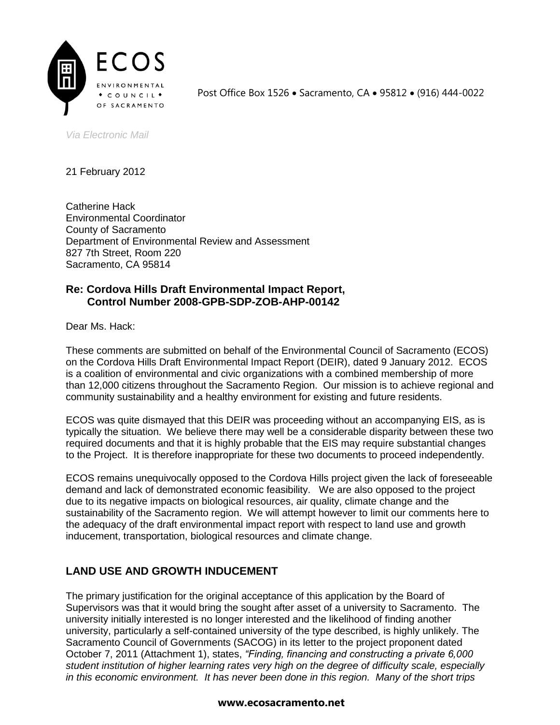

Post Office Box 1526 • Sacramento, CA • 95812 • (916) 444-0022

*Via Electronic Mail*

21 February 2012

Catherine Hack Environmental Coordinator County of Sacramento Department of Environmental Review and Assessment 827 7th Street, Room 220 Sacramento, CA 95814

# **Re: Cordova Hills Draft Environmental Impact Report, Control Number 2008-GPB-SDP-ZOB-AHP-00142**

Dear Ms. Hack:

These comments are submitted on behalf of the Environmental Council of Sacramento (ECOS) on the Cordova Hills Draft Environmental Impact Report (DEIR), dated 9 January 2012. ECOS is a coalition of environmental and civic organizations with a combined membership of more than 12,000 citizens throughout the Sacramento Region. Our mission is to achieve regional and community sustainability and a healthy environment for existing and future residents.

ECOS was quite dismayed that this DEIR was proceeding without an accompanying EIS, as is typically the situation. We believe there may well be a considerable disparity between these two required documents and that it is highly probable that the EIS may require substantial changes to the Project. It is therefore inappropriate for these two documents to proceed independently.

ECOS remains unequivocally opposed to the Cordova Hills project given the lack of foreseeable demand and lack of demonstrated economic feasibility. We are also opposed to the project due to its negative impacts on biological resources, air quality, climate change and the sustainability of the Sacramento region. We will attempt however to limit our comments here to the adequacy of the draft environmental impact report with respect to land use and growth inducement, transportation, biological resources and climate change.

# **LAND USE AND GROWTH INDUCEMENT**

The primary justification for the original acceptance of this application by the Board of Supervisors was that it would bring the sought after asset of a university to Sacramento. The university initially interested is no longer interested and the likelihood of finding another university, particularly a self-contained university of the type described, is highly unlikely. The Sacramento Council of Governments (SACOG) in its letter to the project proponent dated October 7, 2011 (Attachment 1), states, *"Finding, financing and constructing a private 6,000 student institution of higher learning rates very high on the degree of difficulty scale, especially in this economic environment. It has never been done in this region. Many of the short trips*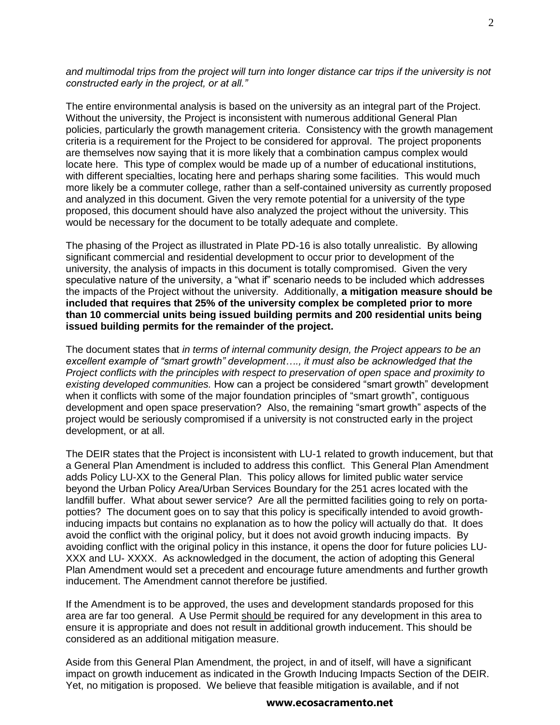*and multimodal trips from the project will turn into longer distance car trips if the university is not constructed early in the project, or at all."*

The entire environmental analysis is based on the university as an integral part of the Project. Without the university, the Project is inconsistent with numerous additional General Plan policies, particularly the growth management criteria. Consistency with the growth management criteria is a requirement for the Project to be considered for approval. The project proponents are themselves now saying that it is more likely that a combination campus complex would locate here. This type of complex would be made up of a number of educational institutions, with different specialties, locating here and perhaps sharing some facilities. This would much more likely be a commuter college, rather than a self-contained university as currently proposed and analyzed in this document. Given the very remote potential for a university of the type proposed, this document should have also analyzed the project without the university. This would be necessary for the document to be totally adequate and complete.

The phasing of the Project as illustrated in Plate PD-16 is also totally unrealistic. By allowing significant commercial and residential development to occur prior to development of the university, the analysis of impacts in this document is totally compromised. Given the very speculative nature of the university, a "what if" scenario needs to be included which addresses the impacts of the Project without the university. Additionally, **a mitigation measure should be included that requires that 25% of the university complex be completed prior to more than 10 commercial units being issued building permits and 200 residential units being issued building permits for the remainder of the project.**

The document states that *in terms of internal community design, the Project appears to be an excellent example of "smart growth" development…., it must also be acknowledged that the Project conflicts with the principles with respect to preservation of open space and proximity to existing developed communities.* How can a project be considered "smart growth" development when it conflicts with some of the major foundation principles of "smart growth", contiguous development and open space preservation? Also, the remaining "smart growth" aspects of the project would be seriously compromised if a university is not constructed early in the project development, or at all.

The DEIR states that the Project is inconsistent with LU-1 related to growth inducement, but that a General Plan Amendment is included to address this conflict. This General Plan Amendment adds Policy LU-XX to the General Plan. This policy allows for limited public water service beyond the Urban Policy Area/Urban Services Boundary for the 251 acres located with the landfill buffer. What about sewer service? Are all the permitted facilities going to rely on portapotties? The document goes on to say that this policy is specifically intended to avoid growthinducing impacts but contains no explanation as to how the policy will actually do that. It does avoid the conflict with the original policy, but it does not avoid growth inducing impacts. By avoiding conflict with the original policy in this instance, it opens the door for future policies LU-XXX and LU- XXXX. As acknowledged in the document, the action of adopting this General Plan Amendment would set a precedent and encourage future amendments and further growth inducement. The Amendment cannot therefore be justified.

If the Amendment is to be approved, the uses and development standards proposed for this area are far too general. A Use Permit should be required for any development in this area to ensure it is appropriate and does not result in additional growth inducement. This should be considered as an additional mitigation measure.

Aside from this General Plan Amendment, the project, in and of itself, will have a significant impact on growth inducement as indicated in the Growth Inducing Impacts Section of the DEIR. Yet, no mitigation is proposed. We believe that feasible mitigation is available, and if not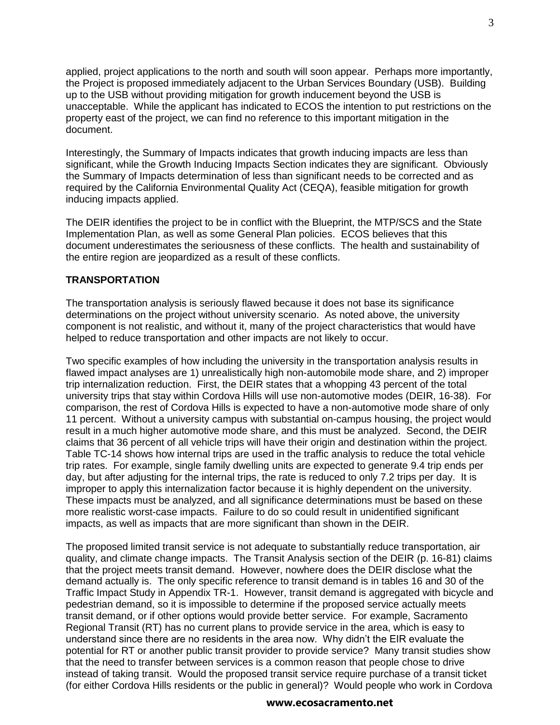applied, project applications to the north and south will soon appear. Perhaps more importantly, the Project is proposed immediately adjacent to the Urban Services Boundary (USB). Building up to the USB without providing mitigation for growth inducement beyond the USB is unacceptable. While the applicant has indicated to ECOS the intention to put restrictions on the property east of the project, we can find no reference to this important mitigation in the document.

Interestingly, the Summary of Impacts indicates that growth inducing impacts are less than significant, while the Growth Inducing Impacts Section indicates they are significant. Obviously the Summary of Impacts determination of less than significant needs to be corrected and as required by the California Environmental Quality Act (CEQA), feasible mitigation for growth inducing impacts applied.

The DEIR identifies the project to be in conflict with the Blueprint, the MTP/SCS and the State Implementation Plan, as well as some General Plan policies. ECOS believes that this document underestimates the seriousness of these conflicts. The health and sustainability of the entire region are jeopardized as a result of these conflicts.

### **TRANSPORTATION**

The transportation analysis is seriously flawed because it does not base its significance determinations on the project without university scenario. As noted above, the university component is not realistic, and without it, many of the project characteristics that would have helped to reduce transportation and other impacts are not likely to occur.

Two specific examples of how including the university in the transportation analysis results in flawed impact analyses are 1) unrealistically high non-automobile mode share, and 2) improper trip internalization reduction. First, the DEIR states that a whopping 43 percent of the total university trips that stay within Cordova Hills will use non-automotive modes (DEIR, 16-38). For comparison, the rest of Cordova Hills is expected to have a non-automotive mode share of only 11 percent. Without a university campus with substantial on-campus housing, the project would result in a much higher automotive mode share, and this must be analyzed. Second, the DEIR claims that 36 percent of all vehicle trips will have their origin and destination within the project. Table TC-14 shows how internal trips are used in the traffic analysis to reduce the total vehicle trip rates. For example, single family dwelling units are expected to generate 9.4 trip ends per day, but after adjusting for the internal trips, the rate is reduced to only 7.2 trips per day. It is improper to apply this internalization factor because it is highly dependent on the university. These impacts must be analyzed, and all significance determinations must be based on these more realistic worst-case impacts. Failure to do so could result in unidentified significant impacts, as well as impacts that are more significant than shown in the DEIR.

The proposed limited transit service is not adequate to substantially reduce transportation, air quality, and climate change impacts. The Transit Analysis section of the DEIR (p. 16-81) claims that the project meets transit demand. However, nowhere does the DEIR disclose what the demand actually is. The only specific reference to transit demand is in tables 16 and 30 of the Traffic Impact Study in Appendix TR-1. However, transit demand is aggregated with bicycle and pedestrian demand, so it is impossible to determine if the proposed service actually meets transit demand, or if other options would provide better service. For example, Sacramento Regional Transit (RT) has no current plans to provide service in the area, which is easy to understand since there are no residents in the area now. Why didn't the EIR evaluate the potential for RT or another public transit provider to provide service? Many transit studies show that the need to transfer between services is a common reason that people chose to drive instead of taking transit. Would the proposed transit service require purchase of a transit ticket (for either Cordova Hills residents or the public in general)? Would people who work in Cordova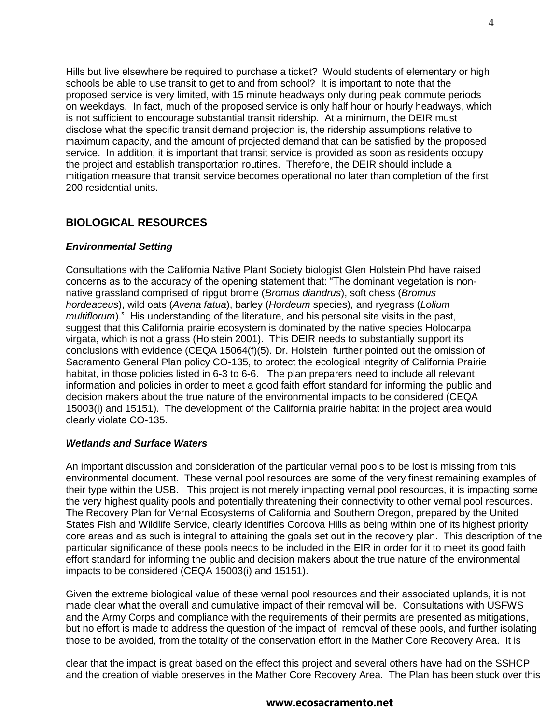Hills but live elsewhere be required to purchase a ticket? Would students of elementary or high schools be able to use transit to get to and from school? It is important to note that the proposed service is very limited, with 15 minute headways only during peak commute periods on weekdays. In fact, much of the proposed service is only half hour or hourly headways, which is not sufficient to encourage substantial transit ridership. At a minimum, the DEIR must disclose what the specific transit demand projection is, the ridership assumptions relative to maximum capacity, and the amount of projected demand that can be satisfied by the proposed service. In addition, it is important that transit service is provided as soon as residents occupy the project and establish transportation routines. Therefore, the DEIR should include a mitigation measure that transit service becomes operational no later than completion of the first 200 residential units.

# **BIOLOGICAL RESOURCES**

### *Environmental Setting*

Consultations with the California Native Plant Society biologist Glen Holstein Phd have raised concerns as to the accuracy of the opening statement that: "The dominant vegetation is nonnative grassland comprised of ripgut brome (*Bromus diandrus*), soft chess (*Bromus hordeaceus*), wild oats (*Avena fatua*), barley (*Hordeum* species), and ryegrass (*Lolium multiflorum*)." His understanding of the literature, and his personal site visits in the past, suggest that this California prairie ecosystem is dominated by the native species Holocarpa virgata, which is not a grass (Holstein 2001). This DEIR needs to substantially support its conclusions with evidence (CEQA 15064(f)(5). Dr. Holstein further pointed out the omission of Sacramento General Plan policy CO-135, to protect the ecological integrity of California Prairie habitat, in those policies listed in 6-3 to 6-6. The plan preparers need to include all relevant information and policies in order to meet a good faith effort standard for informing the public and decision makers about the true nature of the environmental impacts to be considered (CEQA 15003(i) and 15151). The development of the California prairie habitat in the project area would clearly violate CO-135.

### *Wetlands and Surface Waters*

An important discussion and consideration of the particular vernal pools to be lost is missing from this environmental document. These vernal pool resources are some of the very finest remaining examples of their type within the USB. This project is not merely impacting vernal pool resources, it is impacting some the very highest quality pools and potentially threatening their connectivity to other vernal pool resources. The Recovery Plan for Vernal Ecosystems of California and Southern Oregon, prepared by the United States Fish and Wildlife Service, clearly identifies Cordova Hills as being within one of its highest priority core areas and as such is integral to attaining the goals set out in the recovery plan. This description of the particular significance of these pools needs to be included in the EIR in order for it to meet its good faith effort standard for informing the public and decision makers about the true nature of the environmental impacts to be considered (CEQA 15003(i) and 15151).

Given the extreme biological value of these vernal pool resources and their associated uplands, it is not made clear what the overall and cumulative impact of their removal will be. Consultations with USFWS and the Army Corps and compliance with the requirements of their permits are presented as mitigations, but no effort is made to address the question of the impact of removal of these pools, and further isolating those to be avoided, from the totality of the conservation effort in the Mather Core Recovery Area. It is

clear that the impact is great based on the effect this project and several others have had on the SSHCP and the creation of viable preserves in the Mather Core Recovery Area. The Plan has been stuck over this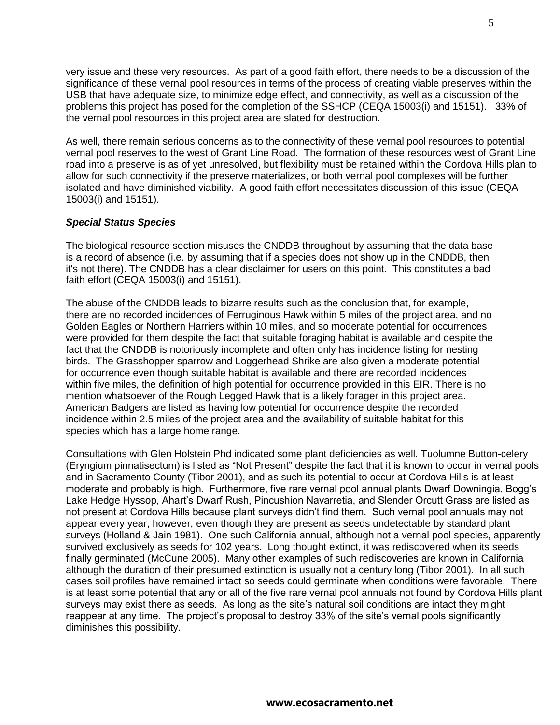very issue and these very resources. As part of a good faith effort, there needs to be a discussion of the significance of these vernal pool resources in terms of the process of creating viable preserves within the USB that have adequate size, to minimize edge effect, and connectivity, as well as a discussion of the problems this project has posed for the completion of the SSHCP (CEQA 15003(i) and 15151). 33% of the vernal pool resources in this project area are slated for destruction.

As well, there remain serious concerns as to the connectivity of these vernal pool resources to potential vernal pool reserves to the west of Grant Line Road. The formation of these resources west of Grant Line road into a preserve is as of yet unresolved, but flexibility must be retained within the Cordova Hills plan to allow for such connectivity if the preserve materializes, or both vernal pool complexes will be further isolated and have diminished viability. A good faith effort necessitates discussion of this issue (CEQA 15003(i) and 15151).

### *Special Status Species*

The biological resource section misuses the CNDDB throughout by assuming that the data base is a record of absence (i.e. by assuming that if a species does not show up in the CNDDB, then it's not there). The CNDDB has a clear disclaimer for users on this point. This constitutes a bad faith effort (CEQA 15003(i) and 15151).

The abuse of the CNDDB leads to bizarre results such as the conclusion that, for example, there are no recorded incidences of Ferruginous Hawk within 5 miles of the project area, and no Golden Eagles or Northern Harriers within 10 miles, and so moderate potential for occurrences were provided for them despite the fact that suitable foraging habitat is available and despite the fact that the CNDDB is notoriously incomplete and often only has incidence listing for nesting birds. The Grasshopper sparrow and Loggerhead Shrike are also given a moderate potential for occurrence even though suitable habitat is available and there are recorded incidences within five miles, the definition of high potential for occurrence provided in this EIR. There is no mention whatsoever of the Rough Legged Hawk that is a likely forager in this project area. American Badgers are listed as having low potential for occurrence despite the recorded incidence within 2.5 miles of the project area and the availability of suitable habitat for this species which has a large home range.

Consultations with Glen Holstein Phd indicated some plant deficiencies as well. Tuolumne Button-celery (Eryngium pinnatisectum) is listed as "Not Present" despite the fact that it is known to occur in vernal pools and in Sacramento County (Tibor 2001), and as such its potential to occur at Cordova Hills is at least moderate and probably is high. Furthermore, five rare vernal pool annual plants Dwarf Downingia, Bogg's Lake Hedge Hyssop, Ahart's Dwarf Rush, Pincushion Navarretia, and Slender Orcutt Grass are listed as not present at Cordova Hills because plant surveys didn't find them. Such vernal pool annuals may not appear every year, however, even though they are present as seeds undetectable by standard plant surveys (Holland & Jain 1981). One such California annual, although not a vernal pool species, apparently survived exclusively as seeds for 102 years. Long thought extinct, it was rediscovered when its seeds finally germinated (McCune 2005). Many other examples of such rediscoveries are known in California although the duration of their presumed extinction is usually not a century long (Tibor 2001). In all such cases soil profiles have remained intact so seeds could germinate when conditions were favorable. There is at least some potential that any or all of the five rare vernal pool annuals not found by Cordova Hills plant surveys may exist there as seeds. As long as the site's natural soil conditions are intact they might reappear at any time. The project's proposal to destroy 33% of the site's vernal pools significantly diminishes this possibility.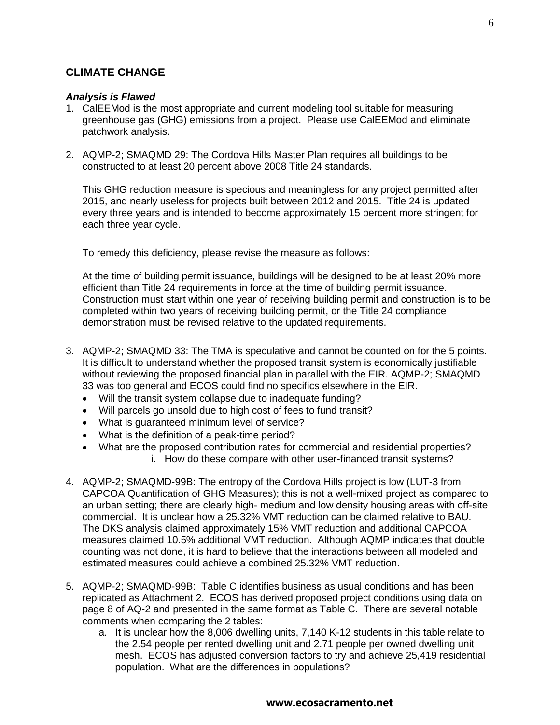## **CLIMATE CHANGE**

#### *Analysis is Flawed*

- 1. CalEEMod is the most appropriate and current modeling tool suitable for measuring greenhouse gas (GHG) emissions from a project. Please use CalEEMod and eliminate patchwork analysis.
- 2. AQMP-2; SMAQMD 29: The Cordova Hills Master Plan requires all buildings to be constructed to at least 20 percent above 2008 Title 24 standards.

This GHG reduction measure is specious and meaningless for any project permitted after 2015, and nearly useless for projects built between 2012 and 2015. Title 24 is updated every three years and is intended to become approximately 15 percent more stringent for each three year cycle.

To remedy this deficiency, please revise the measure as follows:

At the time of building permit issuance, buildings will be designed to be at least 20% more efficient than Title 24 requirements in force at the time of building permit issuance. Construction must start within one year of receiving building permit and construction is to be completed within two years of receiving building permit, or the Title 24 compliance demonstration must be revised relative to the updated requirements.

- 3. AQMP-2; SMAQMD 33: The TMA is speculative and cannot be counted on for the 5 points. It is difficult to understand whether the proposed transit system is economically justifiable without reviewing the proposed financial plan in parallel with the EIR. AQMP-2; SMAQMD 33 was too general and ECOS could find no specifics elsewhere in the EIR.
	- Will the transit system collapse due to inadequate funding?
	- Will parcels go unsold due to high cost of fees to fund transit?
	- What is guaranteed minimum level of service?
	- What is the definition of a peak-time period?
	- What are the proposed contribution rates for commercial and residential properties? i. How do these compare with other user-financed transit systems?
- 4. AQMP-2; SMAQMD-99B: The entropy of the Cordova Hills project is low (LUT-3 from CAPCOA Quantification of GHG Measures); this is not a well-mixed project as compared to an urban setting; there are clearly high- medium and low density housing areas with off-site commercial. It is unclear how a 25.32% VMT reduction can be claimed relative to BAU. The DKS analysis claimed approximately 15% VMT reduction and additional CAPCOA measures claimed 10.5% additional VMT reduction. Although AQMP indicates that double counting was not done, it is hard to believe that the interactions between all modeled and estimated measures could achieve a combined 25.32% VMT reduction.
- 5. AQMP-2; SMAQMD-99B: Table C identifies business as usual conditions and has been replicated as Attachment 2. ECOS has derived proposed project conditions using data on page 8 of AQ-2 and presented in the same format as Table C. There are several notable comments when comparing the 2 tables:
	- a. It is unclear how the 8,006 dwelling units, 7,140 K-12 students in this table relate to the 2.54 people per rented dwelling unit and 2.71 people per owned dwelling unit mesh. ECOS has adjusted conversion factors to try and achieve 25,419 residential population. What are the differences in populations?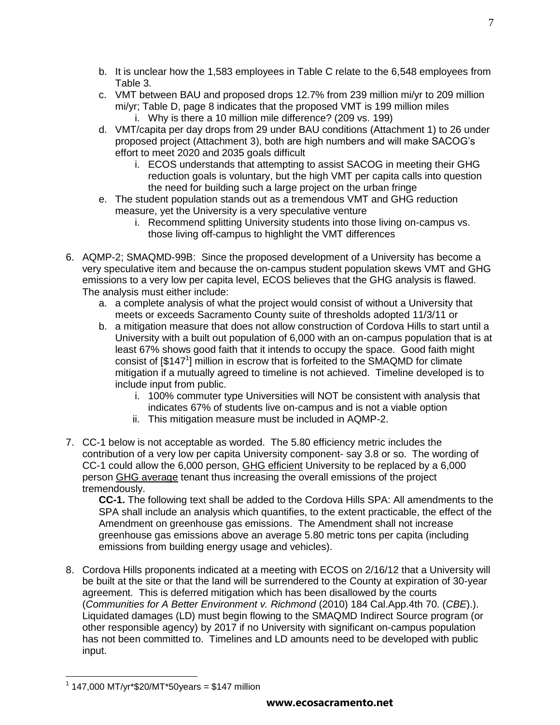- b. It is unclear how the 1,583 employees in Table C relate to the 6,548 employees from Table 3.
- c. VMT between BAU and proposed drops 12.7% from 239 million mi/yr to 209 million mi/yr; Table D, page 8 indicates that the proposed VMT is 199 million miles i. Why is there a 10 million mile difference? (209 vs. 199)
- d. VMT/capita per day drops from 29 under BAU conditions (Attachment 1) to 26 under proposed project (Attachment 3), both are high numbers and will make SACOG's effort to meet 2020 and 2035 goals difficult
	- i. ECOS understands that attempting to assist SACOG in meeting their GHG reduction goals is voluntary, but the high VMT per capita calls into question the need for building such a large project on the urban fringe
- e. The student population stands out as a tremendous VMT and GHG reduction measure, yet the University is a very speculative venture
	- i. Recommend splitting University students into those living on-campus vs. those living off-campus to highlight the VMT differences
- 6. AQMP-2; SMAQMD-99B: Since the proposed development of a University has become a very speculative item and because the on-campus student population skews VMT and GHG emissions to a very low per capita level, ECOS believes that the GHG analysis is flawed. The analysis must either include:
	- a. a complete analysis of what the project would consist of without a University that meets or exceeds Sacramento County suite of thresholds adopted 11/3/11 or
	- b. a mitigation measure that does not allow construction of Cordova Hills to start until a University with a built out population of 6,000 with an on-campus population that is at least 67% shows good faith that it intends to occupy the space. Good faith might consist of  $[$147^1]$  million in escrow that is forfeited to the SMAQMD for climate mitigation if a mutually agreed to timeline is not achieved. Timeline developed is to include input from public.
		- i. 100% commuter type Universities will NOT be consistent with analysis that indicates 67% of students live on-campus and is not a viable option
		- ii. This mitigation measure must be included in AQMP-2.
- 7. CC-1 below is not acceptable as worded. The 5.80 efficiency metric includes the contribution of a very low per capita University component- say 3.8 or so. The wording of CC-1 could allow the 6,000 person, GHG efficient University to be replaced by a 6,000 person GHG average tenant thus increasing the overall emissions of the project tremendously.

**CC-1.** The following text shall be added to the Cordova Hills SPA: All amendments to the SPA shall include an analysis which quantifies, to the extent practicable, the effect of the Amendment on greenhouse gas emissions. The Amendment shall not increase greenhouse gas emissions above an average 5.80 metric tons per capita (including emissions from building energy usage and vehicles).

8. Cordova Hills proponents indicated at a meeting with ECOS on 2/16/12 that a University will be built at the site or that the land will be surrendered to the County at expiration of 30-year agreement. This is deferred mitigation which has been disallowed by the courts (*Communities for A Better Environment v. Richmond* (2010) 184 Cal.App.4th 70. (*CBE*).). Liquidated damages (LD) must begin flowing to the SMAQMD Indirect Source program (or other responsible agency) by 2017 if no University with significant on-campus population has not been committed to. Timelines and LD amounts need to be developed with public input.

<sup>7</sup>

 $\overline{a}$  $1$  147,000 MT/yr\*\$20/MT\*50years = \$147 million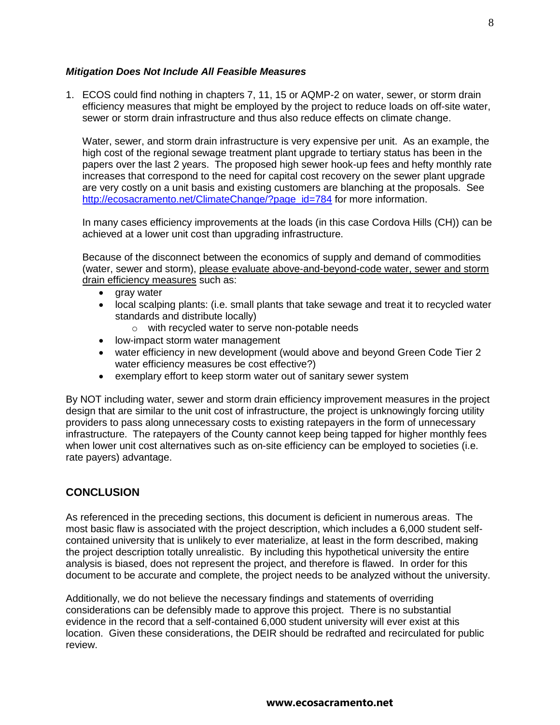### *Mitigation Does Not Include All Feasible Measures*

1. ECOS could find nothing in chapters 7, 11, 15 or AQMP-2 on water, sewer, or storm drain efficiency measures that might be employed by the project to reduce loads on off-site water, sewer or storm drain infrastructure and thus also reduce effects on climate change.

Water, sewer, and storm drain infrastructure is very expensive per unit. As an example, the high cost of the regional sewage treatment plant upgrade to tertiary status has been in the papers over the last 2 years. The proposed high sewer hook-up fees and hefty monthly rate increases that correspond to the need for capital cost recovery on the sewer plant upgrade are very costly on a unit basis and existing customers are blanching at the proposals. See [http://ecosacramento.net/ClimateChange/?page\\_id=784](http://ecosacramento.net/ClimateChange/?page_id=784) for more information.

In many cases efficiency improvements at the loads (in this case Cordova Hills (CH)) can be achieved at a lower unit cost than upgrading infrastructure.

Because of the disconnect between the economics of supply and demand of commodities (water, sewer and storm), please evaluate above-and-beyond-code water, sewer and storm drain efficiency measures such as:

- gray water
- local scalping plants: (i.e. small plants that take sewage and treat it to recycled water standards and distribute locally)
	- o with recycled water to serve non-potable needs
- low-impact storm water management
- water efficiency in new development (would above and beyond Green Code Tier 2 water efficiency measures be cost effective?)
- exemplary effort to keep storm water out of sanitary sewer system

By NOT including water, sewer and storm drain efficiency improvement measures in the project design that are similar to the unit cost of infrastructure, the project is unknowingly forcing utility providers to pass along unnecessary costs to existing ratepayers in the form of unnecessary infrastructure. The ratepayers of the County cannot keep being tapped for higher monthly fees when lower unit cost alternatives such as on-site efficiency can be employed to societies (i.e. rate payers) advantage.

# **CONCLUSION**

As referenced in the preceding sections, this document is deficient in numerous areas. The most basic flaw is associated with the project description, which includes a 6,000 student selfcontained university that is unlikely to ever materialize, at least in the form described, making the project description totally unrealistic. By including this hypothetical university the entire analysis is biased, does not represent the project, and therefore is flawed. In order for this document to be accurate and complete, the project needs to be analyzed without the university.

Additionally, we do not believe the necessary findings and statements of overriding considerations can be defensibly made to approve this project. There is no substantial evidence in the record that a self-contained 6,000 student university will ever exist at this location. Given these considerations, the DEIR should be redrafted and recirculated for public review.